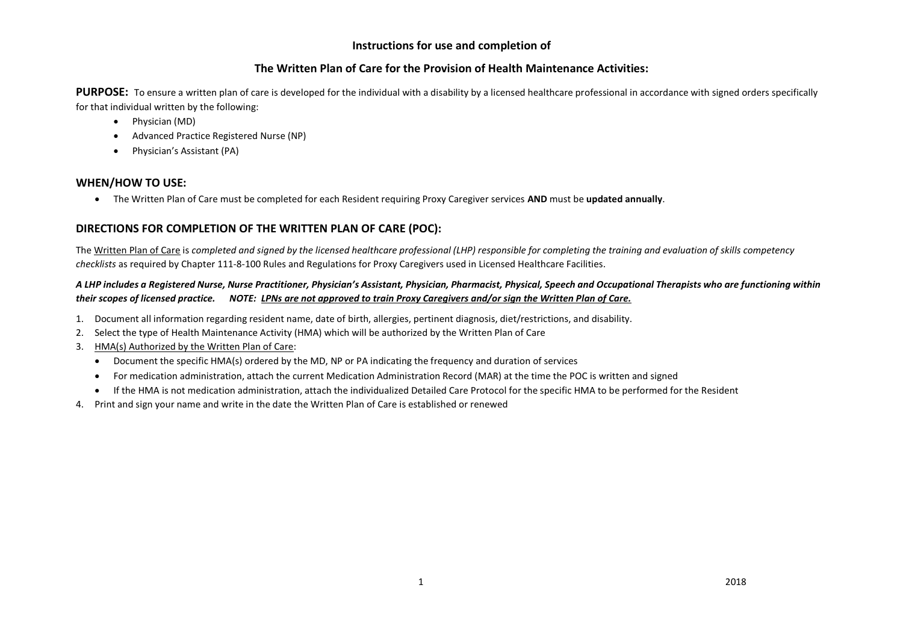# **Instructions for use and completion of**

# **The Written Plan of Care for the Provision of Health Maintenance Activities:**

**PURPOSE:** To ensure a written plan of care is developed for the individual with a disability by a licensed healthcare professional in accordance with signed orders specifically for that individual written by the following:

- Physician (MD)
- Advanced Practice Registered Nurse (NP)
- Physician's Assistant (PA)

# **WHEN/HOW TO USE:**

The Written Plan of Care must be completed for each Resident requiring Proxy Caregiver services **AND** must be **updated annually**.

# **DIRECTIONS FOR COMPLETION OF THE WRITTEN PLAN OF CARE (POC):**

The Written Plan of Care is *completed and signed by the licensed healthcare professional (LHP) responsible for completing the training and evaluation of skills competency checklists* as required by Chapter 111-8-100 Rules and Regulations for Proxy Caregivers used in Licensed Healthcare Facilities.

### *A LHP includes a Registered Nurse, Nurse Practitioner, Physician's Assistant, Physician, Pharmacist, Physical, Speech and Occupational Therapists who are functioning within their scopes of licensed practice. NOTE: LPNs are not approved to train Proxy Caregivers and/or sign the Written Plan of Care.*

- 1. Document all information regarding resident name, date of birth, allergies, pertinent diagnosis, diet/restrictions, and disability.
- 2. Select the type of Health Maintenance Activity (HMA) which will be authorized by the Written Plan of Care
- 3. HMA(s) Authorized by the Written Plan of Care:
	- Document the specific HMA(s) ordered by the MD, NP or PA indicating the frequency and duration of services
	- For medication administration, attach the current Medication Administration Record (MAR) at the time the POC is written and signed
	- If the HMA is not medication administration, attach the individualized Detailed Care Protocol for the specific HMA to be performed for the Resident
- 4. Print and sign your name and write in the date the Written Plan of Care is established or renewed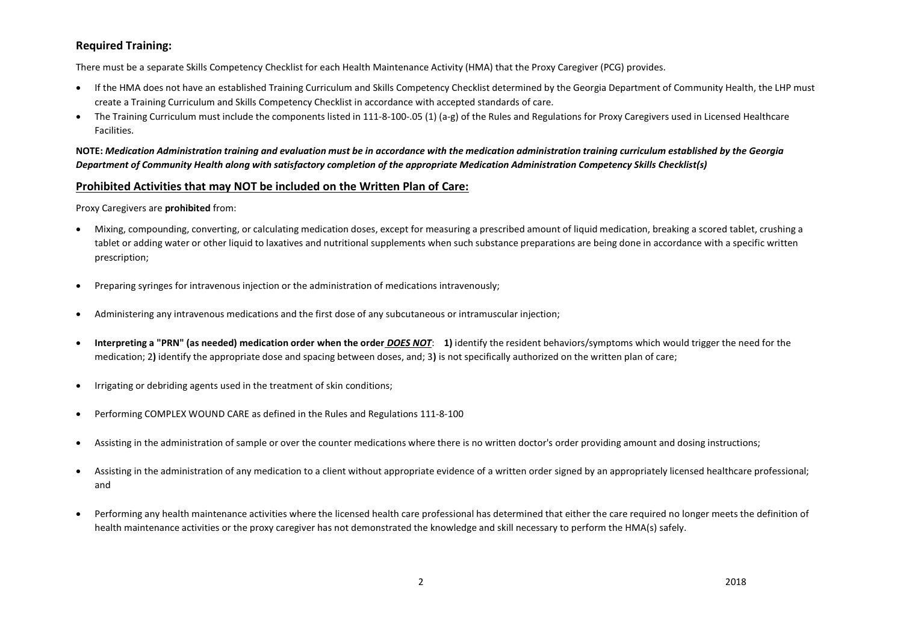# **Required Training:**

There must be a separate Skills Competency Checklist for each Health Maintenance Activity (HMA) that the Proxy Caregiver (PCG) provides.

- If the HMA does not have an established Training Curriculum and Skills Competency Checklist determined by the Georgia Department of Community Health, the LHP must create a Training Curriculum and Skills Competency Checklist in accordance with accepted standards of care.
- The Training Curriculum must include the components listed in 111-8-100-.05 (1) (a-g) of the Rules and Regulations for Proxy Caregivers used in Licensed Healthcare Facilities.

**NOTE:** *Medication Administration training and evaluation must be in accordance with the medication administration training curriculum established by the Georgia Department of Community Health along with satisfactory completion of the appropriate Medication Administration Competency Skills Checklist(s)*

#### **Prohibited Activities that may NOT be included on the Written Plan of Care:**

Proxy Caregivers are **prohibited** from:

- Mixing, compounding, converting, or calculating medication doses, except for measuring a prescribed amount of liquid medication, breaking a scored tablet, crushing a tablet or adding water or other liquid to laxatives and nutritional supplements when such substance preparations are being done in accordance with a specific written prescription;
- Preparing syringes for intravenous injection or the administration of medications intravenously;
- Administering any intravenous medications and the first dose of any subcutaneous or intramuscular injection;
- **Interpreting a "PRN" (as needed) medication order when the order** *DOES NOT*: **1)** identify the resident behaviors/symptoms which would trigger the need for the medication; 2**)** identify the appropriate dose and spacing between doses, and; 3**)** is not specifically authorized on the written plan of care;
- Irrigating or debriding agents used in the treatment of skin conditions;
- Performing COMPLEX WOUND CARE as defined in the Rules and Regulations 111-8-100
- Assisting in the administration of sample or over the counter medications where there is no written doctor's order providing amount and dosing instructions;
- Assisting in the administration of any medication to a client without appropriate evidence of a written order signed by an appropriately licensed healthcare professional; and
- Performing any health maintenance activities where the licensed health care professional has determined that either the care required no longer meets the definition of health maintenance activities or the proxy caregiver has not demonstrated the knowledge and skill necessary to perform the HMA(s) safely.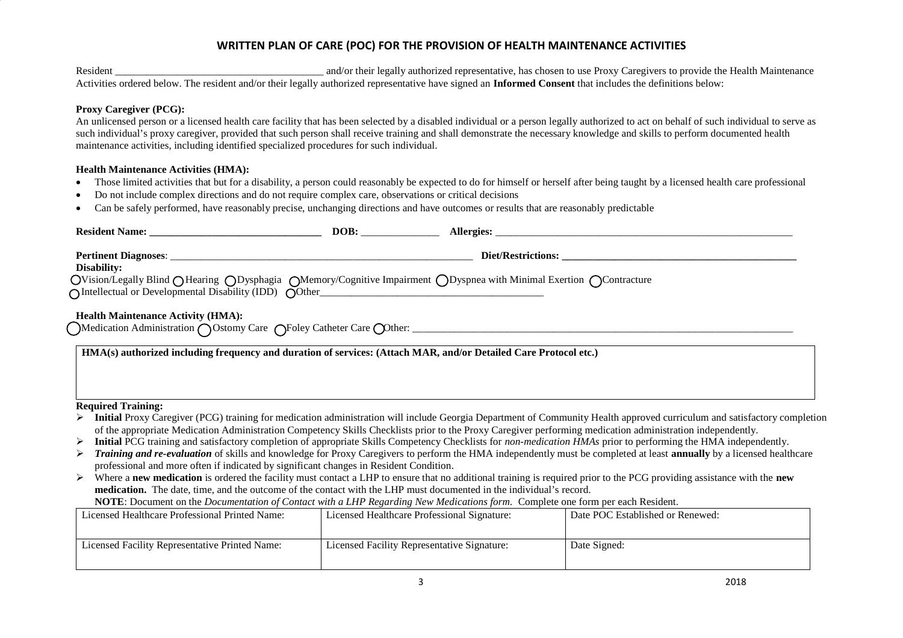# **WRITTEN PLAN OF CARE (POC) FOR THE PROVISION OF HEALTH MAINTENANCE ACTIVITIES**

Resident \_\_\_\_\_\_\_\_\_\_\_\_\_\_\_\_\_\_\_\_\_\_\_\_\_\_\_\_\_\_\_\_\_\_\_\_\_\_\_\_ and/or their legally authorized representative, has chosen to use Proxy Caregivers to provide the Health Maintenance Activities ordered below. The resident and/or their legally authorized representative have signed an **Informed Consent** that includes the definitions below:

#### **Proxy Caregiver (PCG):**

An unlicensed person or a licensed health care facility that has been selected by a disabled individual or a person legally authorized to act on behalf of such individual to serve as such individual's proxy caregiver, provided that such person shall receive training and shall demonstrate the necessary knowledge and skills to perform documented health maintenance activities, including identified specialized procedures for such individual.

#### **Health Maintenance Activities (HMA):**

- Those limited activities that but for a disability, a person could reasonably be expected to do for himself or herself after being taught by a licensed health care professional
- Do not include complex directions and do not require complex care, observations or critical decisions
- Can be safely performed, have reasonably precise, unchanging directions and have outcomes or results that are reasonably predictable

| Disability:<br>OVision/Legally Blind OHearing ODysphagia OMemory/Cognitive Impairment ODyspnea with Minimal Exertion OContracture                                                                                                                             |                                             |  |                                                                                                                                                                       |  |  |  |  |  |  |
|---------------------------------------------------------------------------------------------------------------------------------------------------------------------------------------------------------------------------------------------------------------|---------------------------------------------|--|-----------------------------------------------------------------------------------------------------------------------------------------------------------------------|--|--|--|--|--|--|
| <b>Health Maintenance Activity (HMA):</b>                                                                                                                                                                                                                     |                                             |  |                                                                                                                                                                       |  |  |  |  |  |  |
| HMA(s) authorized including frequency and duration of services: (Attach MAR, and/or Detailed Care Protocol etc.)                                                                                                                                              |                                             |  |                                                                                                                                                                       |  |  |  |  |  |  |
|                                                                                                                                                                                                                                                               |                                             |  |                                                                                                                                                                       |  |  |  |  |  |  |
| <b>Required Training:</b>                                                                                                                                                                                                                                     |                                             |  |                                                                                                                                                                       |  |  |  |  |  |  |
| Initial Proxy Caregiver (PCG) training for medication administration will include Georgia Department of Community Health approved curriculum and satisfactory completion                                                                                      |                                             |  |                                                                                                                                                                       |  |  |  |  |  |  |
| of the appropriate Medication Administration Competency Skills Checklists prior to the Proxy Caregiver performing medication administration independently.                                                                                                    |                                             |  |                                                                                                                                                                       |  |  |  |  |  |  |
| Initial PCG training and satisfactory completion of appropriate Skills Competency Checklists for non-medication HMAs prior to performing the HMA independently.<br>➤                                                                                          |                                             |  |                                                                                                                                                                       |  |  |  |  |  |  |
| ➤                                                                                                                                                                                                                                                             |                                             |  | Training and re-evaluation of skills and knowledge for Proxy Caregivers to perform the HMA independently must be completed at least annually by a licensed healthcare |  |  |  |  |  |  |
| professional and more often if indicated by significant changes in Resident Condition.                                                                                                                                                                        |                                             |  |                                                                                                                                                                       |  |  |  |  |  |  |
| Where a new medication is ordered the facility must contact a LHP to ensure that no additional training is required prior to the PCG providing assistance with the new                                                                                        |                                             |  |                                                                                                                                                                       |  |  |  |  |  |  |
| medication. The date, time, and the outcome of the contact with the LHP must documented in the individual's record.<br>NOTE: Document on the <i>Documentation of Contact with a LHP Regarding New Medications form</i> . Complete one form per each Resident. |                                             |  |                                                                                                                                                                       |  |  |  |  |  |  |
|                                                                                                                                                                                                                                                               |                                             |  |                                                                                                                                                                       |  |  |  |  |  |  |
| Licensed Healthcare Professional Printed Name:                                                                                                                                                                                                                | Licensed Healthcare Professional Signature: |  | Date POC Established or Renewed:                                                                                                                                      |  |  |  |  |  |  |
| Licensed Facility Representative Printed Name:                                                                                                                                                                                                                | Licensed Facility Representative Signature: |  | Date Signed:                                                                                                                                                          |  |  |  |  |  |  |